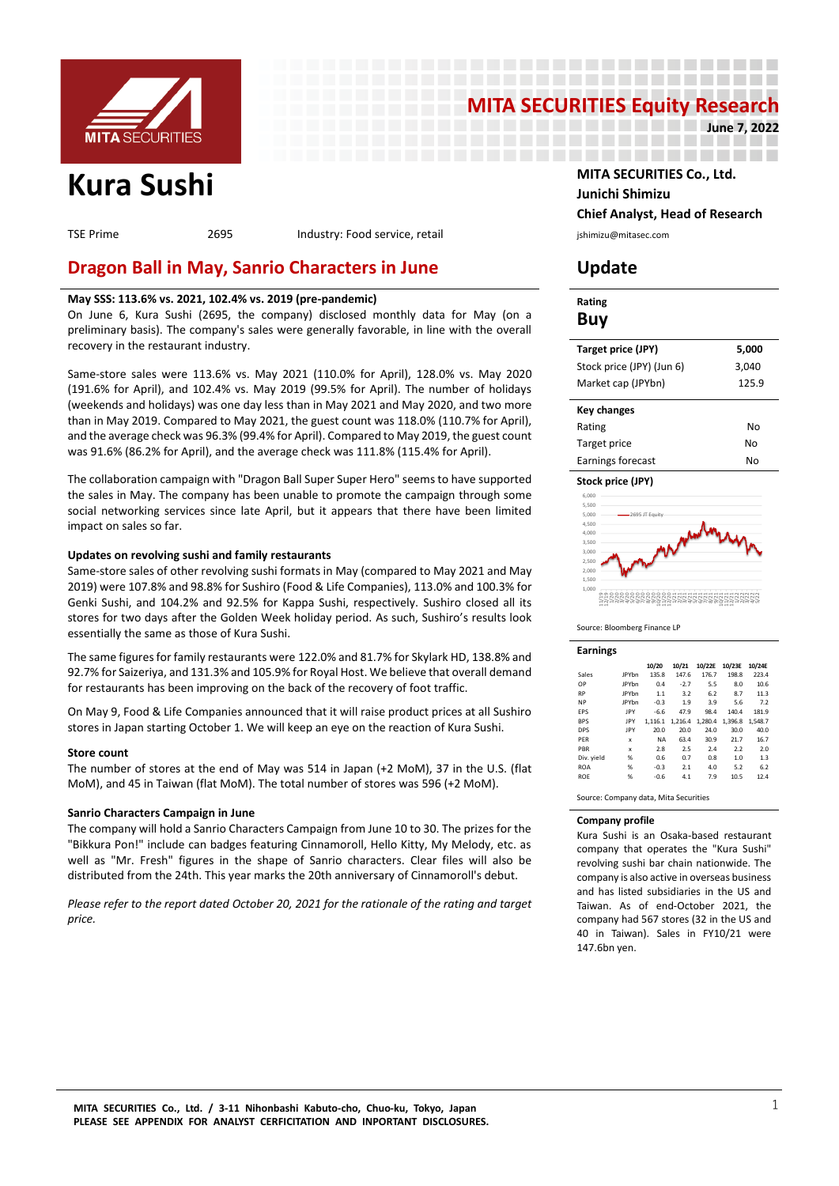

# **MITA SECURITIES Equity Research June 7, 2022**

---------------------

----------------------

--------------------

TSE Prime 2695 Industry: Food service, retail industry: Food service, retail in the substitution of the section

# **Dragon Ball in May, Sanrio Characters in June Update**

# **May SSS: 113.6% vs. 2021, 102.4% vs. 2019 (pre-pandemic)**

On June 6, Kura Sushi (2695, the company) disclosed monthly data for May (on a preliminary basis). The company's sales were generally favorable, in line with the overall recovery in the restaurant industry.

Same-store sales were 113.6% vs. May 2021 (110.0% for April), 128.0% vs. May 2020 (191.6% for April), and 102.4% vs. May 2019 (99.5% for April). The number of holidays (weekends and holidays) was one day less than in May 2021 and May 2020, and two more than in May 2019. Compared to May 2021, the guest count was 118.0% (110.7% for April), and the average check was 96.3% (99.4% for April). Compared to May 2019, the guest count was 91.6% (86.2% for April), and the average check was 111.8% (115.4% for April).

The collaboration campaign with "Dragon Ball Super Super Hero" seems to have supported the sales in May. The company has been unable to promote the campaign through some social networking services since late April, but it appears that there have been limited impact on sales so far.

### **Updates on revolving sushi and family restaurants**

Same-store sales of other revolving sushi formats in May (compared to May 2021 and May 2019) were 107.8% and 98.8% for Sushiro (Food & Life Companies), 113.0% and 100.3% for Genki Sushi, and 104.2% and 92.5% for Kappa Sushi, respectively. Sushiro closed all its stores for two days after the Golden Week holiday period. As such, Sushiro's results look essentially the same as those of Kura Sushi.

The same figures for family restaurants were 122.0% and 81.7% for Skylark HD, 138.8% and 92.7% for Saizeriya, and 131.3% and 105.9% for Royal Host. We believe that overall demand for restaurants has been improving on the back of the recovery of foot traffic.

On May 9, Food & Life Companies announced that it will raise product prices at all Sushiro stores in Japan starting October 1. We will keep an eye on the reaction of Kura Sushi.

### **Store count**

The number of stores at the end of May was 514 in Japan (+2 MoM), 37 in the U.S. (flat MoM), and 45 in Taiwan (flat MoM). The total number of stores was 596 (+2 MoM).

### **Sanrio Characters Campaign in June**

The company will hold a Sanrio Characters Campaign from June 10 to 30. The prizes for the "Bikkura Pon!" include can badges featuring Cinnamoroll, Hello Kitty, My Melody, etc. as well as "Mr. Fresh" figures in the shape of Sanrio characters. Clear files will also be distributed from the 24th. This year marks the 20th anniversary of Cinnamoroll's debut.

*Please refer to the report dated October 20, 2021 for the rationale of the rating and target price.*

**Kura Sushi MITA SECURITIES Co., Ltd. Junichi Shimizu Chief Analyst, Head of Research**

| Rating<br>Buy              |       |
|----------------------------|-------|
| Target price (JPY)         | 5.000 |
| Stock price (JPY) (Jun 6)  | 3,040 |
| Market cap (JPYbn)         | 125.9 |
| <b>Key changes</b>         |       |
| Rating                     | N٥    |
| Target price               | N٥    |
| Earnings forecast          | Nο    |
| Stock price (JPY)<br>6.000 |       |



Source: Bloomberg Finance LP

| Earnings |              |       |
|----------|--------------|-------|
|          |              | 10/20 |
| Sales    | <b>IPYbn</b> | 135.8 |

|              | 10/20     | 10/21  |         | 10/23E                    | 10/24E  |  |
|--------------|-----------|--------|---------|---------------------------|---------|--|
| <b>JPYbn</b> | 135.8     | 147.6  | 176.7   | 198.8                     | 223.4   |  |
| <b>JPYbn</b> | 0.4       | $-2.7$ | 5.5     | 8.0                       | 10.6    |  |
| <b>IPYhn</b> | 1.1       | 3.2    | 6.2     | 8.7                       | 11.3    |  |
| <b>JPYbn</b> | $-0.3$    | 1.9    | 3.9     | 5.6                       | 7.2     |  |
| <b>IPY</b>   | $-6.6$    | 47.9   | 98.4    | 140.4                     | 181.9   |  |
| JPY          |           |        | 1.280.4 | 1.396.8                   | 1.548.7 |  |
| JPY          | 20.0      | 20.0   | 24.0    | 30.0                      | 40.0    |  |
| x            | <b>NA</b> | 63.4   | 30.9    | 21.7                      | 16.7    |  |
| $\mathbf x$  | 2.8       | 2.5    | 7.4     | 2.2                       | 2.0     |  |
| %            | 0.6       | 0.7    | 0.8     | 1.0                       | 1.3     |  |
| %            | $-0.3$    | 2.1    | 4.0     | 5.2                       | 6.2     |  |
| %            | $-0.6$    | 4.1    | 7.9     | 10.5                      | 12.4    |  |
|              |           |        |         | 10/22E<br>1.116.1 1.216.4 |         |  |

Source: Company data, Mita Securities

#### **Company profile**

Kura Sushi is an Osaka-based restaurant company that operates the "Kura Sushi" revolving sushi bar chain nationwide. The company is also active in overseas business and has listed subsidiaries in the US and Taiwan. As of end-October 2021, the company had 567 stores (32 in the US and 40 in Taiwan). Sales in FY10/21 were 147.6bn yen.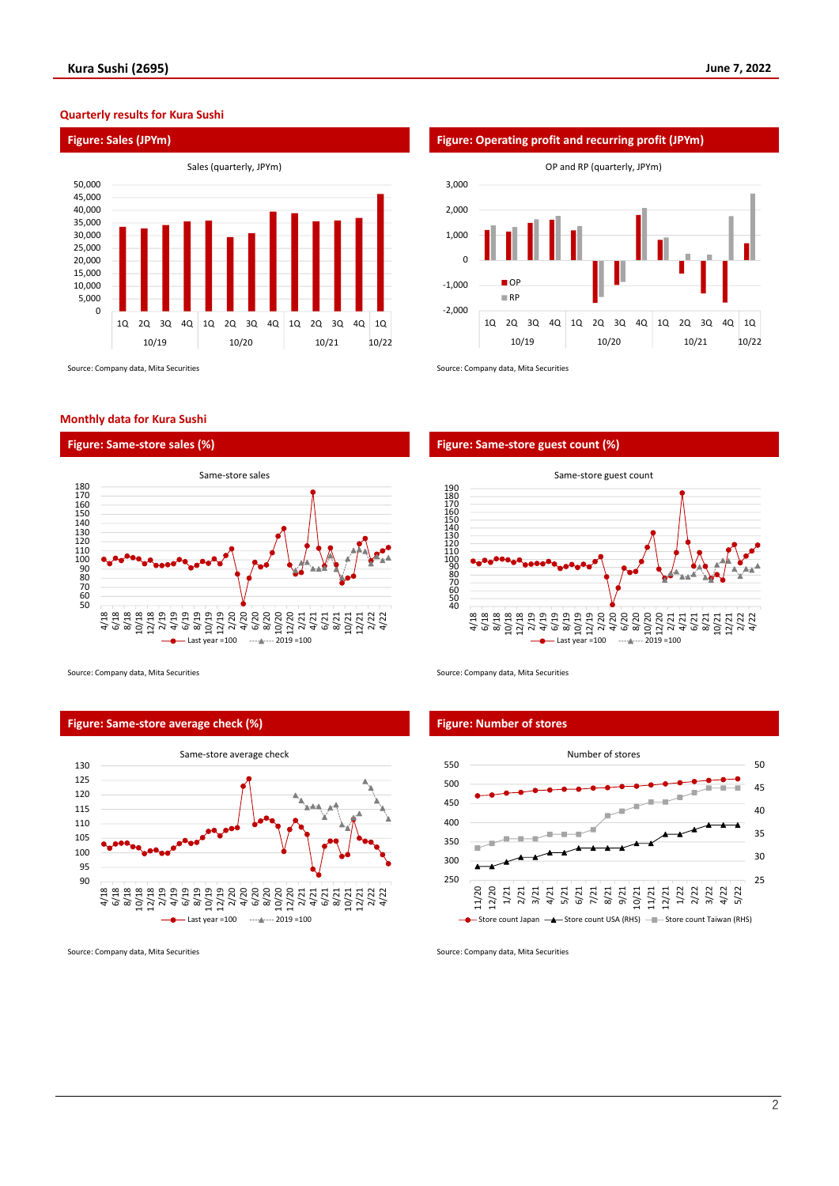### **Quarterly results for Kura Sushi**



Source: Company data, Mita Securities Source: Company data, Mita Securities Source: Company data, Mita Securities

#### **Monthly data for Kura Sushi**





Source: Company data, Mita Securities Source: Company data, Mita Securities Source: Company data, Mita Securities

### **Figure: Same-store average check (%) Figure: Number of stores**



Source: Company data, Mita Securities Source: Company data, Mita Securities Source: Company data, Mita Securities



# **Figure: Same-store sales (%) Figure: Same-store guest count (%)**



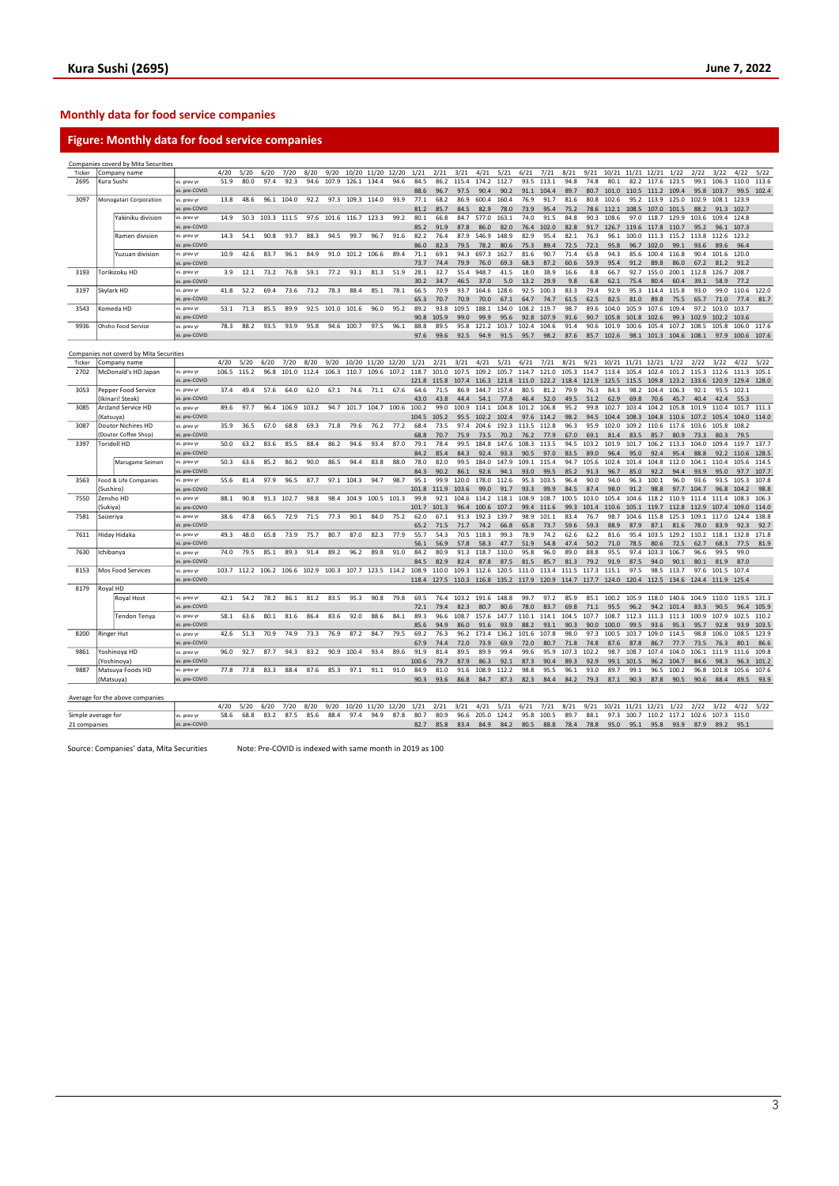# **Monthly data for food service companies**

# **Figure: Monthly data for food service companies**

|        |                   | Companies coverd by Mita Securities     |               |       |       |       |       |       |       |       |             |       |       |       |       |       |       |       |       |       |       |             |       |       |       |       |       |       |       |
|--------|-------------------|-----------------------------------------|---------------|-------|-------|-------|-------|-------|-------|-------|-------------|-------|-------|-------|-------|-------|-------|-------|-------|-------|-------|-------------|-------|-------|-------|-------|-------|-------|-------|
| Ticker |                   | Company name                            |               | 4/20  | 5/20  | 6/20  | 7/20  | 8/20  | 9/20  |       | 10/20 11/20 | 12/20 | 1/21  | 2/21  | 3/21  | 4/21  | 5/21  | 6/21  | 7/21  | 8/21  | 9/21  | 10/21 11/21 |       | 12/21 | 1/22  | 2/22  | 3/22  | 4/22  | 5/22  |
| 2695   | Kura Sushi        |                                         | vs. prev yr   | 51.9  | 80.0  | 97.4  | 92.3  | 94.6  | 107.9 | 126.1 | 134.4       | 94.6  | 84.5  | 86.2  | 115.4 | 174.2 | 112.7 | 93.5  | 113.1 | 94.8  | 74.8  | 80.1        | 82.2  | 117.6 | 123.5 | 99.1  | 106.3 | 110.0 | 113.6 |
|        |                   |                                         | vs. pre-COVID |       |       |       |       |       |       |       |             |       | 88.6  | 96.7  | 97.5  | 90.4  | 90.2  | 91.1  | 104.4 | 89.7  | 80.7  | 101.0       | 110.5 | 111.2 | 109.4 | 95.8  | 103.7 | 99.5  | 102.4 |
| 3097   |                   | Monogatari Corporation                  | vs. prev y    | 13.8  | 48.6  | 96.1  | 104.0 | 92.2  | 97.3  |       | 109.3 114.0 | 93.9  | 77.1  | 68.2  | 86.9  | 600.4 | 160.4 | 76.9  | 91.7  | 81.6  | 80.8  | 102.6       | 95.2  | 113.9 | 125.0 | 102.9 | 108.1 | 123.9 |       |
|        |                   |                                         | vs. pre-COVID |       |       |       |       |       |       |       |             |       | 81.2  | 85.7  | 84.5  | 82.9  | 78.0  | 73.9  | 95.4  | 75.2  | 78.6  | 112.1       | 108.5 | 107.0 | 101.5 | 88.2  | 91.3  | 102.7 |       |
|        |                   | Yakiniku division                       | vs. prev y    | 14.9  | 50.3  | 103.3 | 111.5 | 97.6  | 101.6 | 116.7 | 123.3       | 99.2  | 80.1  | 66.8  | 84.7  | 577.0 | 163.1 | 74.0  | 91.5  | 84.8  | 90.3  | 108.6       | 97.0  | 118.7 | 129.9 | 103.6 | 109.4 | 124.8 |       |
|        |                   |                                         | vs. pre-COVID |       |       |       |       |       |       |       |             |       | 85.2  | 91.9  | 87.8  | 86.0  | 82.0  | 76.4  | 102.0 | 82.8  | 91.7  | 126.7       | 119.6 | 117.8 | 110.7 | 95.2  | 96.1  | 107.3 |       |
|        |                   | Ramen division                          | vs. prev vi   | 14.3  | 54.1  | 90.8  | 93.7  | 88.3  | 94.5  | 99.7  | 96.7        | 91.6  | 82.2  | 76.4  | 87.9  | 546.9 | 148.9 | 82.9  | 95.4  | 82.1  | 76.3  | 96.1        | 100.0 | 111.3 | 115.2 | 113.8 | 112.6 | 123.2 |       |
|        |                   |                                         | vs. pre-COVID |       |       |       |       |       |       |       |             |       | 86.0  | 82.3  | 79.5  | 78.2  | 80.6  | 75.3  | 89.4  | 72.5  | 72.1  | 95.8        | 96.7  | 102.0 | 99.1  | 93.6  | 89.6  | 96.4  |       |
|        |                   | Yuzuan division                         | vs. prev vi   | 10.9  | 42.6  | 83.7  | 96.1  | 84.9  | 91.0  | 101.2 | 106.6       | 89.4  | 71.1  | 69.1  | 94.3  | 697.3 | 162.7 | 81.6  | 90.7  | 71.4  | 65.8  | 94.3        | 85.6  | 100.4 | 116.8 | 90.4  | 101.6 | 120.0 |       |
|        |                   |                                         | vs. pre-COVID |       |       |       |       |       |       |       |             |       | 73.7  | 74.4  | 79.9  | 76.0  | 69.3  | 68.3  | 87.2  | 60.6  | 59.9  | 95.4        | 91.2  | 89.8  | 86.0  | 67.2  | 81.2  | 91.2  |       |
| 3193   |                   | Torikizoku HD                           | vs. prev yr   | 3.9   | 12.1  | 73.2  | 76.8  | 59.1  | 77.2  | 93.1  | 81.3        | 51.9  | 28.1  | 32.7  | 55.4  | 948.7 | 41.5  | 18.0  | 38.9  | 16.6  | 8.8   | 66.7        | 92.7  | 155.0 | 200.1 | 112.8 | 126.7 | 208.7 |       |
|        |                   |                                         | vs. pre-COVID |       |       |       |       |       |       |       |             |       | 30.2  | 34.7  | 46.5  | 37.0  | 5.0   | 13.2  | 29.9  | 9.8   | 6.8   | 62.1        | 75.4  | 80.4  | 60.4  | 39.1  | 58.9  | 77.2  |       |
| 3197   | Skylark HD        |                                         | vs. prev y    | 41.8  | 52.2  | 69.4  | 73.6  | 73.2  | 78.3  | 88.4  | 85.1        | 78.1  | 66.5  | 70.9  | 93.7  | 164.6 | 128.6 | 92.5  | 100.3 | 83.3  | 79.4  | 92.9        | 95.3  | 114.4 | 115.8 | 93.0  | 99.0  | 110.6 | 122.0 |
|        |                   |                                         | vs. pre-COVID |       |       |       |       |       |       |       |             |       | 65.3  | 70.7  | 70.9  | 70.0  | 67.1  | 64.7  | 74.7  | 61.5  | 62.5  | 82.5        | 81.0  | 89.8  | 75.5  | 65.7  | 71.0  | 77.4  | 81.7  |
| 3543   |                   | Komeda HD                               | vs. prev yr   | 53.1  | 71.3  | 85.5  | 89.9  | 92.5  | 101.0 | 101.6 | 96.0        | 95.2  | 89.2  | 93.8  | 109.5 | 188.1 | 134.0 | 108.2 | 119.7 | 98.7  | 89.6  | 104.0       | 105.9 | 107.6 | 109.4 | 97.2  | 103.0 | 103.7 |       |
|        |                   |                                         | vs. pre-COVID |       |       |       |       |       |       |       |             |       | 90.8  | 105.9 | 99.0  | 99.9  | 95.6  | 92.8  | 107.9 | 91.6  | 90.7  | 105.8       | 101.8 | 102.6 | 99.3  | 102.9 | 102.2 | 103.6 |       |
| 9936   |                   | Ohsho Food Service                      | vs. prev yr   | 78.3  | 88.2  | 93.5  | 93.9  | 95.8  | 94.6  | 100.7 | 97.5        | 96.1  | 88.8  | 89.5  | 95.8  | 121.2 | 103.7 | 102.4 | 104.6 | 91.4  | 90.6  | 101.9       | 100.6 | 105.4 | 107.2 | 108.5 | 105.8 | 106.0 | 117.6 |
|        |                   |                                         | vs. pre-COVID |       |       |       |       |       |       |       |             |       | 97.6  | 99.6  | 92.5  | 94.9  | 91.5  | 95.7  | 98.2  | 87.6  | 85.7  | 102.6       | 98.1  | 101.3 | 104.6 | 108.1 | 97.9  | 100.6 | 107.6 |
|        |                   |                                         |               |       |       |       |       |       |       |       |             |       |       |       |       |       |       |       |       |       |       |             |       |       |       |       |       |       |       |
|        |                   | Companies not coverd by Mita Securities |               |       |       |       |       |       |       |       |             |       |       |       |       |       |       |       |       |       |       |             |       |       |       |       |       |       |       |
| Ticker |                   | Company name                            |               | 4/20  | 5/20  | 6/20  | 7/20  | 8/20  | 9/20  | 10/20 | 11/20 12/20 |       | 1/21  | 2/21  | 3/21  | 4/21  | 5/21  | 6/21  | 7/21  | 8/21  | 9/21  | 10/21 11/21 |       | 12/21 | 1/22  | 2/22  | 3/22  | 4/22  | 5/22  |
| 2702   |                   | McDonald's HD Japan                     | vs. prev vi   | 106.5 | 115.2 | 96.8  | 101.0 | 112.4 | 106.3 | 110.7 | 109.6       | 107.2 | 118.7 | 101.0 | 107.5 | 109.2 | 105.7 | 114.7 | 121.0 | 105.3 | 114.7 | 113.4       | 105.4 | 102.4 | 101.2 | 115.3 | 112.6 | 111.3 | 105.1 |
|        |                   |                                         | vs. pre-COVID |       |       |       |       |       |       |       |             |       | 121.8 | 115.8 | 107.4 | 116.3 | 121.8 | 111.0 | 122.2 | 118.4 | 121.9 | 125.5       | 115.5 | 109.8 | 123.2 | 133.6 | 120.9 | 129.4 | 128.0 |
| 3053   |                   | Pepper Food Service                     | vs. prev vi   | 37.4  | 49.4  | 57.6  | 64.0  | 62.0  | 67.1  | 74.6  | 71.1        | 67.6  | 64.6  | 71.5  | 86.9  | 144.7 | 157.4 | 80.5  | 81.2  | 79.9  | 76.3  | 84.3        | 98.2  | 104.4 | 106.3 | 92.1  | 95.5  | 102.1 |       |
|        |                   | Ikinari! Steak)                         | s. pre-COVID  |       |       |       |       |       |       |       |             |       | 43.0  | 43.8  | 44.4  | 54.1  | 77.8  | 46.4  | 52.0  | 49.5  | 51.2  | 62.9        | 69.8  | 70.6  | 45.7  | 40.4  | 42.4  | 55.3  |       |
| 3085   |                   | <b>Arcland Service HD</b>               | vs. prev yr   | 89.6  | 97.7  | 96.4  | 106.9 | 103.2 | 94.7  | 101.7 | 104.7       | 100.6 | 100.2 | 99.0  | 100.9 | 114.1 | 104.8 | 101.2 | 106.8 | 95.2  | 99.8  | 102.7       | 103.4 | 104.2 | 105.8 | 101.9 | 110.4 | 101.7 | 111.3 |
|        | (Katsuya)         |                                         | vs. pre-COVID |       |       |       |       |       |       |       |             |       | 104.5 | 105.2 | 95.5  | 102.2 | 102.4 | 97.6  | 114.2 | 98.2  | 94.5  | 104.4       | 108.3 | 104.8 | 110.6 | 107.2 | 105.4 | 104.0 | 114.0 |
| 3087   |                   | Doutor Nichires HD                      | vs. prev vr   | 35.9  | 36.5  | 67.0  | 68.8  | 69.3  | 71.8  | 79.6  | 76.2        | 77.2  | 68.4  | 73.5  | 97.4  | 204.6 | 192.3 | 113.5 | 112.8 | 96.3  | 95.9  | 102.0       | 109.2 | 110.6 | 117.6 | 103.6 | 105.8 | 108.2 |       |
|        |                   | Doutor Coffee Shop)                     | vs. pre-COVID |       |       |       |       |       |       |       |             |       | 68.8  | 70.7  | 75.9  | 73.5  | 70.2  | 76.2  | 77.9  | 67.0  | 69.1  | 81.4        | 83.5  | 85.7  | 80.9  | 73.3  | 80.3  | 79.5  |       |
| 3397   |                   | <b>Toridoll HD</b>                      | vs. prev vr   | 50.0  | 63.2  | 83.6  | 85.5  | 88.4  | 86.2  | 94.6  | 93.4        | 87.0  | 79.1  | 78.4  | 99.5  | 184.8 | 147.6 | 108.3 | 113.5 | 94.5  | 103.2 | 101.9       | 101.7 | 106.2 | 113.3 | 104.0 | 109.4 | 119.7 | 137.7 |
|        |                   |                                         | vs. pre-COVID |       |       |       |       |       |       |       |             |       | 84.2  | 85.4  | 84.3  | 92.4  | 93.3  | 90.5  | 97.0  | 83.5  | 89.0  | 96.4        | 95.0  | 92.4  | 95.4  | 88.8  | 92.2  | 110.6 | 128.5 |
|        |                   | Marugame Seimen                         | vs. prev vr   | 50.3  | 63.6  | 85.2  | 86.2  | 90.0  | 86.5  | 94.4  | 83.8        | 88.0  | 78.0  | 82.0  | 99.5  | 184.0 | 147.9 | 109.1 | 115.4 | 94.7  | 105.6 | 102.4       | 101.4 | 104.8 | 112.0 | 104.1 | 110.4 | 105.6 | 114.5 |
|        |                   |                                         | vs. pre-COVID |       |       |       |       |       |       |       |             |       | 84.3  | 90.2  | 86.1  | 92.6  | 94.1  | 93.0  | 99.5  | 85.2  | 91.3  | 96.7        | 85.0  | 92.2  | 94.4  | 93.9  | 95.0  | 97.7  | 107.7 |
| 3563   |                   | Food & Life Companies                   | vs. prev vi   | 55.6  | 81.4  | 97.9  | 96.5  | 87.7  | 97.1  | 104.3 | 94.7        | 98.7  | 95.1  | 99.9  | 120.0 | 178.0 | 112.6 | 95.3  | 103.5 | 96.4  | 90.0  | 94.0        | 96.3  | 100.1 | 96.0  | 93.6  | 93.5  | 105.3 | 107.8 |
|        | (Sushiro)         |                                         | vs. pre-COVID |       |       |       |       |       |       |       |             |       | 101.8 | 111.9 | 103.6 | 99.0  | 91.7  | 93.3  | 99.9  | 84.5  | 87.4  | 98.0        | 91.2  | 98.8  | 97.7  | 104.7 | 96.8  | 104.2 | 98.8  |
| 7550   | Zensho HD         |                                         | vs. prev yr   | 88.1  | 90.8  | 91.3  | 102.7 | 98.8  | 98.4  | 104.9 | 100.5       | 101.3 | 99.8  | 92.1  | 104.6 | 114.2 | 118.1 | 108.9 | 108.7 | 100.5 | 103.0 | 105.4       | 104.6 | 118.2 | 110.9 | 111.4 | 111.4 | 108.3 | 106.3 |
|        | Sukiya)           |                                         | vs. pre-COVID |       |       |       |       |       |       |       |             |       | 101.7 | 101.3 | 96.4  | 100.6 | 107.2 | 99.4  | 111.6 | 99.3  | 101.4 | 110.6       | 105.1 | 119.7 | 112.8 | 112.9 | 107.4 | 109.0 | 114.0 |
| 7581   | Saizeriya         |                                         | vs. prev vi   | 38.6  | 47.8  | 66.5  | 72.9  | 71.5  | 77.3  | 90.1  | 84.0        | 75.2  | 62.0  | 67.1  | 91.3  | 192.3 | 139.7 | 98.9  | 101.1 | 83.4  | 76.7  | 98.7        | 104.6 | 115.8 | 125.3 | 109.1 | 117.0 | 124.4 | 138.8 |
|        |                   |                                         | vs. pre-COVID |       |       |       |       |       |       |       |             |       | 65.2  | 71.5  | 71.7  | 74.2  | 66.8  | 65.8  | 73.7  | 59.6  | 59.3  | 88.9        | 87.9  | 87.1  | 81.6  | 78.0  | 83.9  | 92.3  | 92.7  |
| 7611   |                   | Hiday Hidaka                            | vs. prev y    | 49.3  | 48.0  | 65.8  | 73.9  | 75.7  | 80.7  | 87.0  | 82.3        | 77.9  | 55.7  | 54.3  | 70.5  | 118.3 | 99.3  | 78.9  | 74.2  | 62.6  | 62.2  | 81.6        | 95.4  | 103.5 | 129.2 | 110.2 | 118.1 | 132.8 | 171.8 |
|        |                   |                                         | vs. pre-COVID |       |       |       |       |       |       |       |             |       | 56.1  | 56.9  | 57.8  | 58.3  | 47.7  | 51.9  | 54.8  | 47.4  | 50.2  | 71.0        | 78.5  | 80.6  | 72.5  | 62.7  | 68.3  | 77.5  | 81.9  |
| 7630   | Ichibanya         |                                         | vs. prev vr   | 74.0  | 79.5  | 85.1  | 89.3  | 91.4  | 89.2  | 96.2  | 89.8        | 91.0  | 84.2  | 80.9  | 91.3  | 118.7 | 110.0 | 95.8  | 96.0  | 89.0  | 88.8  | 95.5        | 97.4  | 103.3 | 106.7 | 96.6  | 99.5  | 99.0  |       |
|        |                   |                                         | vs. pre-COVID |       |       |       |       |       |       |       |             |       | 84.5  | 82.9  | 82.4  | 87.8  | 87.5  | 81.5  | 85.7  | 81.3  | 79.2  | 91.9        | 87.5  | 94.0  | 90.1  | 80.1  | 81.9  | 87.0  |       |
| 8153   |                   | Mos Food Services                       | vs. prev v    | 103.7 | 112.2 | 106.2 | 106.6 | 102.9 | 100.3 | 107.7 | 123.5       | 114.2 | 108.9 | 110.0 | 109.3 | 112.6 | 120.5 | 111.0 | 113.4 | 111.5 | 117.3 | 115.1       | 97.5  | 98.5  | 113.7 | 97.6  | 101.5 | 107.4 |       |
|        |                   |                                         | vs. pre-COVID |       |       |       |       |       |       |       |             |       | 118.4 | 127.5 | 110.3 | 116.8 | 135.2 | 117.9 | 120.9 | 114.7 | 117.7 | 124.0       | 120.4 | 112.5 | 134.6 | 124.4 | 111.9 | 125.4 |       |
| 8179   | Royal HD          |                                         |               |       |       |       |       |       |       |       |             |       |       |       |       |       |       |       |       |       |       |             |       |       |       |       |       |       |       |
|        |                   | Royal Host                              | vs. prev yr   | 42.1  | 54.2  | 78.2  | 86.1  | 81.2  | 83.5  | 95.3  | 90.8        | 79.8  | 69.5  | 76.4  | 103.2 | 191.6 | 148.8 | 99.7  | 97.2  | 85.9  | 85.1  | 100.2       | 105.9 | 118.0 | 140.6 | 104.9 | 110.0 | 119.5 | 131.3 |
|        |                   |                                         | vs. pre-COVID |       |       |       |       |       |       |       |             |       | 72.1  | 79.4  | 82.3  | 80.7  | 80.6  | 78.0  | 83.7  | 69.8  | 71.1  | 95.5        | 96.2  | 94.2  | 101.4 | 83.3  | 90.5  | 96.4  | 105.9 |
|        |                   | Tendon Tenya                            | vs. prev y    | 58.1  | 63.6  | 80.1  | 81.6  | 86.4  | 83.6  | 92.0  | 88.6        | 84.1  | 89.3  | 96.6  | 108.7 | 157.6 | 147.7 | 110.1 | 114.1 | 104.5 | 107.7 | 108.7       | 112.3 | 111.3 | 111.3 | 100.9 | 107.9 | 102.5 | 110.2 |
|        |                   |                                         | vs. pre-COVID |       |       |       |       |       |       |       |             |       | 85.6  | 94.9  | 86.0  | 91.6  | 93.9  | 88.2  | 93.1  | 90.3  | 90.0  | 100.0       | 99.5  | 93.6  | 95.3  | 95.7  | 92.8  | 93.9  | 103.5 |
| 8200   | <b>Ringer Hut</b> |                                         | vs. prev vi   | 42.6  | 51.3  | 70.9  | 74.9  | 73.3  | 76.9  | 87.2  | 84.7        | 79.5  | 69.2  | 76.3  | 96.2  | 173.4 | 136.2 | 101.6 | 107.8 | 98.0  | 97.3  | 100.5       | 103.7 | 109.0 | 114.5 | 98.8  | 106.0 | 108.5 | 123.9 |
|        |                   |                                         | vs. pre-COVID |       |       |       |       |       |       |       |             |       | 67.9  | 74.4  | 72.0  | 73.9  | 69.9  | 72.0  | 80.7  | 71.8  | 74.8  | 87.6        | 87.8  | 86.7  | 77.7  | 73.5  | 76.3  | 80.1  | 86.6  |
| 9861   |                   | Yoshinoya HD                            | vs. prev y    | 96.0  | 92.7  | 87.7  | 94.3  | 83.2  | 90.9  | 100.4 | 93.4        | 89.6  | 91.9  | 81.4  | 89.5  | 89.9  | 99.4  | 99.6  | 95.9  | 107.3 | 102.2 | 98.7        | 108.7 | 107.4 | 104.0 | 106.1 | 111.9 | 111.6 | 109.8 |
|        |                   | Yoshinoya)                              | s. pre-COVID  |       |       |       |       |       |       |       |             |       | 100.6 | 79.7  | 87.9  | 86.3  | 92.1  | 87.3  | 90.4  | 89.3  | 92.9  | 99.1        | 101.5 | 96.2  | 104.7 | 84.6  | 98.3  | 96.3  | 101.2 |
| 9887   |                   | Matsuya Foods HD                        | vs. prev y    | 77.8  | 77.8  | 83.3  | 88.4  | 87.6  | 85.3  | 97.1  | 91.1        | 91.0  | 84.9  | 81.0  | 91.6  | 108.9 | 112.2 | 98.8  | 95.5  | 96.1  | 93.0  | 89.7        | 99.1  | 96.5  | 100.2 | 96.8  | 101.8 | 105.6 | 107.6 |
|        | (Matsuya)         |                                         | vs. pre-COVID |       |       |       |       |       |       |       |             |       | 90.3  | 93.6  | 86.8  | 84.7  | 87.3  | 82.3  | 84.4  | 84.2  | 79.3  | 87.1        | 90.3  | 87.8  | 90.5  | 90.6  | 88.4  | 89.5  | 93.9  |
|        |                   |                                         |               |       |       |       |       |       |       |       |             |       |       |       |       |       |       |       |       |       |       |             |       |       |       |       |       |       |       |
|        |                   | Average for the above companies         |               |       |       |       |       |       |       |       |             |       |       |       |       |       |       |       |       |       |       |             |       |       |       |       |       |       |       |
|        |                   |                                         |               | 4/20  | 5/20  | 6/20  | 7/20  | 8/20  | 9/20  | 10/20 | 11/20       | 12/20 | 1/21  | 2/21  | 3/21  | 4/21  | 5/21  | 6/21  | 7/21  | 8/21  | 9/21  | 10/21 11/21 |       | 12/21 | 1/22  | 2/22  | 3/22  | 4/22  | 5/22  |
|        |                   |                                         |               |       |       |       |       |       |       |       |             |       |       |       |       |       |       |       |       |       |       |             |       |       |       |       |       |       |       |

|                    |                    |  |  |  | 4/20 5/20 6/20 7/20 8/20 9/20 10/20 11/20 12/20 1/21 2/21 3/21 4/21 5/21 6/21 7/21 8/21 9/21 10/21 11/21 12/21 1/22 2/22 3/22 4/22 5/22 |  |  |  |  |  |                                                                                 |  |  |  |  |
|--------------------|--------------------|--|--|--|-----------------------------------------------------------------------------------------------------------------------------------------|--|--|--|--|--|---------------------------------------------------------------------------------|--|--|--|--|
| Simple average for | <b>VS. Drev vr</b> |  |  |  | 58.6 68.8 83.2 87.5 85.6 88.4 97.4 94.9 87.8 80.7 80.9 96.6 205.0 124.2 95.8 100.5 89.7 88.1 97.3 100.7 110.2 117.2 102.6 107.3 115.0   |  |  |  |  |  |                                                                                 |  |  |  |  |
| 21 companies       | vs. pre-COVID      |  |  |  |                                                                                                                                         |  |  |  |  |  | 82.7 85.8 83.4 84.9 84.2 80.5 88.8 78.4 78.8 95.0 95.1 95.8 93.9 87.9 89.2 95.1 |  |  |  |  |
|                    |                    |  |  |  |                                                                                                                                         |  |  |  |  |  |                                                                                 |  |  |  |  |

Source: Companies' data, Mita Securities Note: Pre-COVID is indexed with same month in 2019 as 100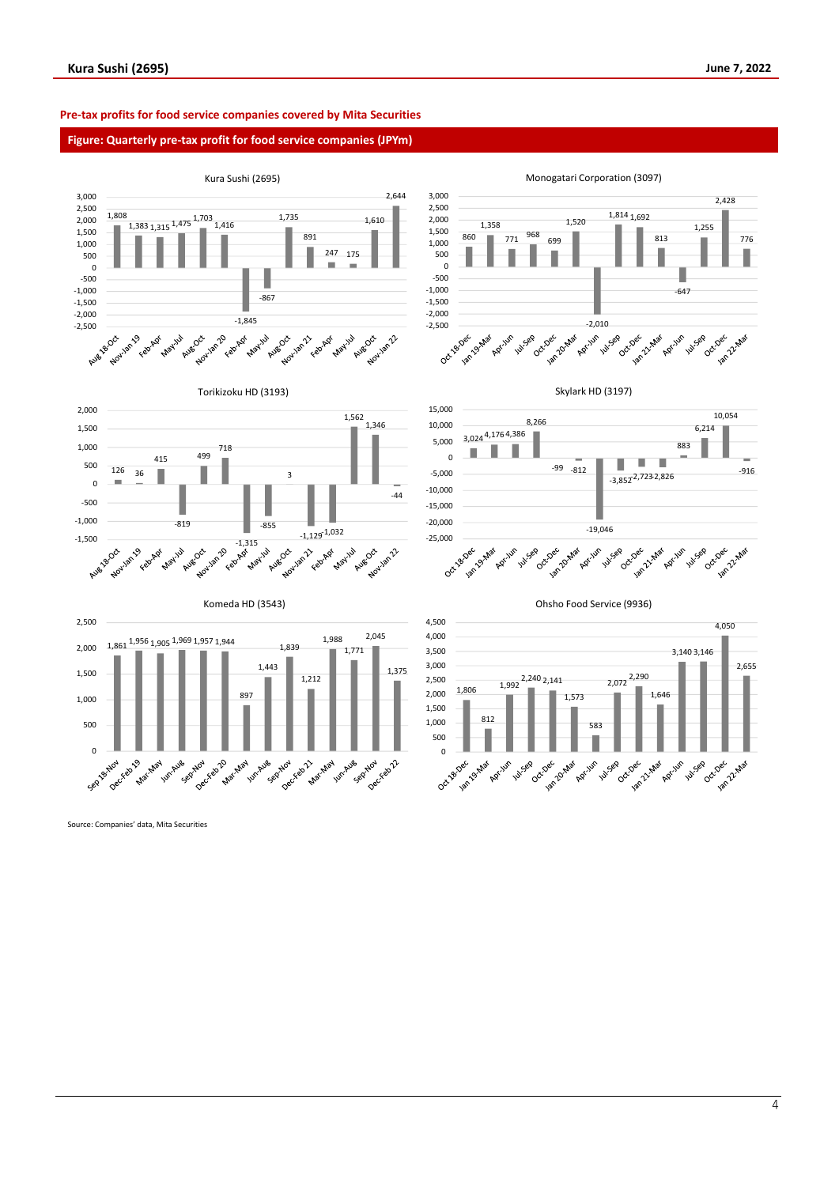# **Pre-tax profits for food service companies covered by Mita Securities**

# **Figure: Quarterly pre-tax profit for food service companies (JPYm)**



Source: Companies' data, Mita Securities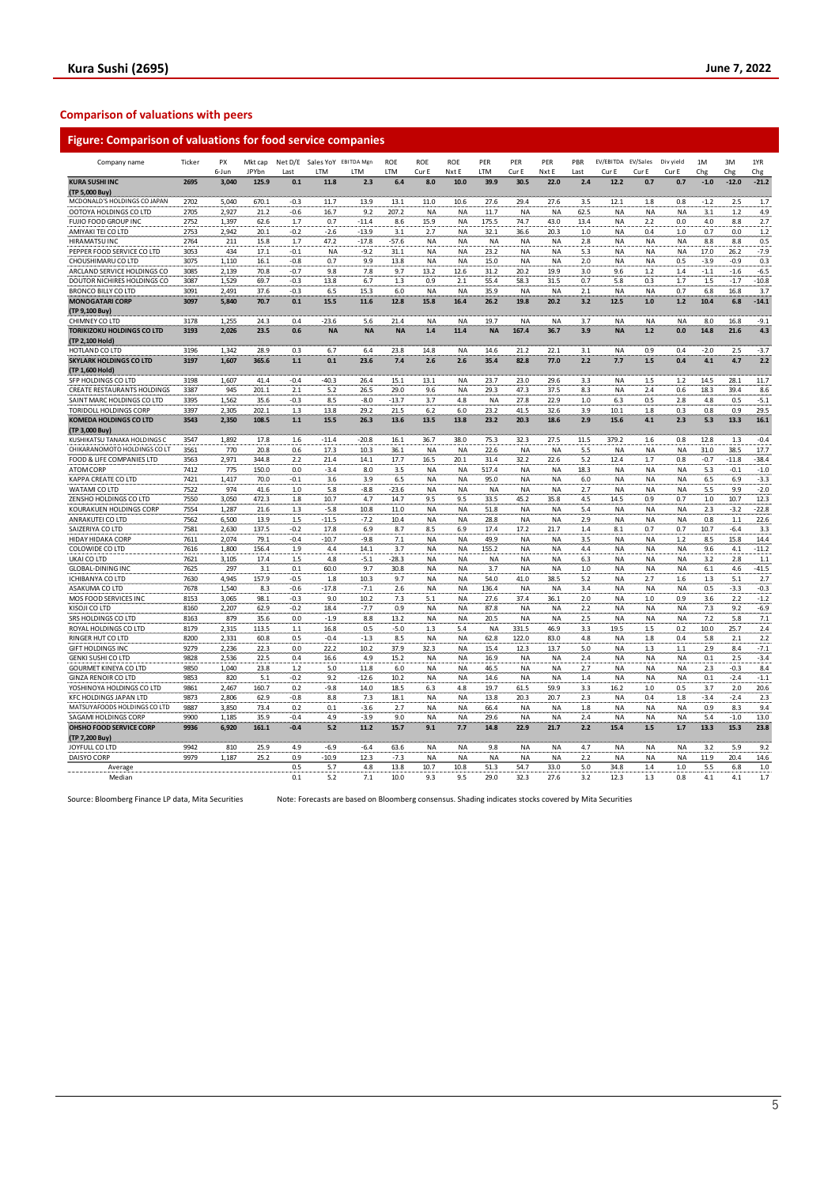| <b>Figure: Comparison of valuations for food service companies</b> |              |                |                  |               |                                     |                |                   |                        |                   |              |                   |                        |             |                        |                          |                    |             |                |                 |
|--------------------------------------------------------------------|--------------|----------------|------------------|---------------|-------------------------------------|----------------|-------------------|------------------------|-------------------|--------------|-------------------|------------------------|-------------|------------------------|--------------------------|--------------------|-------------|----------------|-----------------|
| Company name                                                       | Ticker       | PΧ<br>6-Jun    | Mkt cap<br>JPYbn | Last          | Net D/E Sales YoY EBITDA Mgn<br>LTM | LTM            | <b>ROE</b><br>LTM | <b>ROE</b><br>Cur E    | ROE<br>Nxt E      | PER<br>LTM   | PER<br>Cur E      | PER<br>Nxt E           | PBR<br>Last | EV/EBITDA<br>Cur E     | <b>FV/Sales</b><br>Cur F | Div vield<br>Cur F | 1M<br>Chg   | 3M<br>Chg      | 1YR<br>Chg      |
| <b>KURA SUSHI INC</b>                                              | 2695         | 3,040          | 125.9            | $0.1\,$       | 11.8                                | 2.3            | $6.4\,$           | 8.0                    | 10.0              | 39.9         | 30.5              | 22.0                   | $2.4$       | 12.2                   | 0.7                      | 0.7                | $-1.0$      | $-12.0$        | $-21.2$         |
| (TP 5,000 Buy)<br>MCDONALD'S HOLDINGS CO JAPAN                     | 2702         | 5,040          | 670.1            | -0.3          | 11.7                                | 13.9           | 13.1              | 11.0                   | 10.6              | 27.6         | 29.4              | 27.6                   | 3.5         | 12.1                   | 1.8                      | 0.8                | $-1.2$      | 2.5            | 1.7             |
| OOTOYA HOLDINGS CO LTD                                             | 2705         | 2,927          | 21.2             | $-0.6$        | 16.7                                | 9.2            | 207.2             | <b>NA</b>              | <b>NA</b>         | 11.7         | <b>NA</b>         | <b>NA</b>              | 62.5        | NA                     | <b>NA</b>                | <b>NA</b>          | 3.1         | 1.2            | 4.9             |
| FUJIO FOOD GROUP INC                                               | 2752         | 1,397          | 62.6             | 1.7           | 0.7                                 | $-11.4$        | 8.6               | 15.9                   | NA                | 175.5        | 74.7              | 43.0                   | 13.4        | NA                     | 2.2                      | 0.0                | 4.0         | 8.8            | 2.7             |
| AMIYAKI TEI CO LTD                                                 | 2753         | 2,942          | 20.1             | $-0.2$        | $-2.6$                              | $-13.9$        | 3.1               | 2.7                    | <b>NA</b>         | 32.1         | 36.6              | 20.3                   | 1.0         | NA                     | 0.4                      | 1.0                | 0.7         | 0.0            | 1.2             |
| <b>HIRAMATSUINC</b>                                                | 2764         | 211            | 15.8             | 1.7           | 47.2                                | $-17.8$        | -57.6             | NA                     | NA                | <b>NA</b>    | NA                | <b>NA</b>              | 2.8         | NA                     | <b>NA</b>                | ΝA                 | 8.8         | 8.8            | 0.5             |
| PEPPER FOOD SERVICE CO LTD                                         | 3053         | 434            | 17.1             | $-0.1$        | NA                                  | $-9.2$         | 31.1              | <b>NA</b>              | NA                | 23.2         | NA                | <b>NA</b>              | 5.3         | NA                     | NA                       | <b>NA</b>          | 17.0        | 26.2           | $-7.9$          |
| CHOUSHIMARU CO LTD                                                 | 3075         | 1,110          | 16.1             | $-0.8$        | 0.7                                 | 9.9            | 13.8              | <b>NA</b>              | <b>NA</b>         | 15.0         | <b>NA</b>         | <b>NA</b>              | 2.0         | <b>NA</b>              | <b>NA</b>                | 0.5                | $-3.9$      | $-0.9$         | 0.3             |
| ARCLAND SERVICE HOLDINGS CO                                        | 3085         | 2,139          | 70.8             | $-0.7$        | 9.8                                 | 7.8            | 9.7               | 13.2                   | 12.6              | 31.2         | 20.2              | 19.9                   | 3.0         | 9.6                    | 1.2                      | 1.4                | $-1.1$      | $-1.6$         | $-6.5$          |
| DOUTOR NICHIRES HOLDINGS CO                                        | 3087         | 1,529          | 69.7             | $-0.3$        | 13.8                                | 6.7            | $1.3$             | 0.9                    | 2.1               | 55.4         | 58.3              | 31.5                   | 0.7         | 5.8                    | 0.3                      | 1.7                | $1.5$       | $-1.7$         | $-10.8$         |
| <b>BRONCO BILLY CO LTD</b><br><b>MONOGATARI CORP</b>               | 3091<br>3097 | 2,491<br>5,840 | 37.6<br>70.7     | $-0.3$<br>0.1 | 6.5<br>15.5                         | 15.3<br>11.6   | 6.0<br>12.8       | <b>NA</b><br>15.8      | <b>NA</b><br>16.4 | 35.9<br>26.2 | <b>NA</b><br>19.8 | <b>NA</b><br>20.2      | 2.1<br>3.2  | <b>NA</b><br>12.5      | <b>NA</b><br>1.0         | 0.7<br>$1.2$       | 6.8<br>10.4 | 16.8<br>6.8    | 3.7<br>$-14.1$  |
| (TP 9,100 Buy)                                                     |              |                |                  |               |                                     |                |                   |                        |                   |              |                   |                        |             |                        |                          |                    |             |                |                 |
| CHIMNEY CO LTD                                                     | 3178         | 1.255          | 24.3             | 0.4           | $-23.6$                             | 5.6            | 21.4              | <b>NA</b>              | <b>NA</b>         | 19.7         | <b>NA</b>         | <b>NA</b>              | 3.7         | <b>NA</b>              | <b>NA</b>                | <b>NA</b>          | 8.0         | 16.8           | $-9.1$          |
| <b>TORIKIZOKU HOLDINGS CO LTD</b><br>(TP 2.100 Hold)               | 3193         | 2,026          | 23.5             | 0.6           | <b>NA</b>                           | <b>NA</b>      | <b>NA</b>         | 1.4                    | 11.4              | <b>NA</b>    | 167.4             | 36.7                   | 3.9         | <b>NA</b>              | $1.2$                    | 0.0                | 14.8        | 21.6           | 4.3             |
| HOTLAND CO LTD                                                     | 3196         | 1,342          | 28.9             | 0.3           | 6.7                                 | 6.4            | 23.8              | 14.8                   | NA                | 14.6         | 21.2              | 22.1                   | 3.1         | NA                     | 0.9                      | 0.4                | $-2.0$      | 2.5            | $-3.7$          |
| <b>SKYLARK HOLDINGS CO LTD</b><br>(TP 1,600 Hold)                  | 3197         | 1,607          | 365.6            | $1.1$         | 0.1                                 | 23.6           | 7.4               | 2.6                    | 2.6               | 35.4         | 82.8              | 77.0                   | 2.2         | 7.7                    | 1.5                      | 0.4                | 4.1         | 4.7            | 2.2             |
| SFP HOLDINGS CO LTD                                                | 3198         | 1,607          | 41.4             | $-0.4$        | $-40.3$                             | 26.4           | 15.1              | 13.1                   | <b>NA</b>         | 23.7         | 23.0              | 29.6                   | 3.3         | NA                     | 1.5                      | $1.2\,$            | 14.5        | 28.1           | 11.7            |
| <b>CREATE RESTAURANTS HOLDINGS</b>                                 | 3387         | 945            | 201.1            | 2.1           | 5.2                                 | 26.5           | 29.0              | 9.6                    | NA                | 29.3         | 47.3              | 37.5                   | 8.3         | <b>NA</b>              | 2.4                      | 0.6                | 18.3        | 39.4           | 8.6             |
| SAINT MARC HOLDINGS CO LTD                                         | 3395         | 1,562          | 35.6             | $-0.3$        | 8.5                                 | -8.0           | $-13.7$           | 3.7                    | 4.8               | <b>NA</b>    | 27.8              | 22.9                   | 1.0         | 6.3                    | 0.5                      | 2.8                | 4.8         | 0.5            | $-5.1$          |
| TORIDOLL HOLDINGS CORP                                             | 3397         | 2,305          | 202.1            | 1.3           | 13.8                                | 29.2           | 21.5              | 6.2                    | 6.0               | 23.2         | 41.5              | 32.6                   | 3.9         | 10.1                   | 1.8                      | 0.3                | 0.8         | 0.9            | 29.5            |
| <b>KOMEDA HOLDINGS CO LTD</b><br>(TP 3,000 Buy)                    | 3543         | 2,350          | 108.5            | $1.1$         | 15.5                                | 26.3           | 13.6              | 13.5                   | 13.8              | 23.2         | 20.3              | 18.6                   | 2.9         | 15.6                   | 4.1                      | 2.3                | 5.3         | 13.3           | 16.1            |
| KUSHIKATSU TANAKA HOLDINGS C                                       | 3547         | 1,892          | 17.8             | 1.6           | $-11.4$                             | $-20.8$        | 16.1              | 36.7                   | 38.0              | 75.3         | 32.3              | 27.5                   | 11.5        | 379.2                  | 1.6                      | 0.8                | 12.8        | 1.3            | $-0.4$          |
| CHIKARANOMOTO HOLDINGS CO LT                                       | 3561         | 770            | 20.8             | 0.6           | 17.3                                | 10.3           | 36.1              | <b>NA</b>              | <b>NA</b>         | 22.6         | <b>NA</b>         | <b>NA</b>              | 5.5         | <b>NA</b>              | <b>NA</b>                | <b>NA</b>          | 31.0        | 38.5           | 17.7            |
| FOOD & LIFE COMPANIES LTD                                          | 3563         | 2,971          | 344.8            | 2.2           | 21.4                                | 14.1           | 17.7              | 16.5                   | 20.1              | 31.4         | 32.2              | 22.6                   | 5.2         | 12.4                   | 1.7                      | 0.8                | $-0.7$      | $-11.8$        | $-38.4$         |
| ATOM CORP                                                          | 7412         | 775            | 150.0            | 0.0           | $-3.4$                              | 8.0            | 3.5               | <b>NA</b>              | <b>NA</b>         | 517.4        | <b>NA</b>         | <b>NA</b>              | 18.3        | <b>NA</b>              | <b>NA</b>                | <b>NA</b>          | 5.3         | $-0.1$         | $-1.0$          |
| KAPPA CREATE CO LTD                                                | 7421         | 1,417          | 70.0             | $-0.1$        | 3.6                                 | 3.9            | 6.5               | <b>NA</b>              | NA                | 95.0         | NA                | <b>NA</b>              | 6.0         | NA                     | NA                       | ΝA                 | 6.5         | 6.9            | $-3.3$          |
| WATAMI CO LTD                                                      | 7522         | 974            | 41.6             | $1.0\,$       | 5.8                                 | $-8.8$         | $-23.6$           | <b>NA</b>              | NA                | <b>NA</b>    | <b>NA</b>         | <b>NA</b>              | 2.7         | NA                     | <b>NA</b>                | <b>NA</b>          | 5.5         | 9.9            | $-2.0$          |
| ZENSHO HOLDINGS CO LTD<br>KOURAKUEN HOLDINGS CORP                  | 7550<br>7554 | 3,050<br>1,287 | 472.3<br>21.6    | 1.8<br>1.3    | 10.7<br>$-5.8$                      | 4.7<br>10.8    | 14.7              | 9.5                    | 9.5               | 33.5         | 45.2              | 35.8                   | 4.5<br>5.4  | 14.5<br><b>NA</b>      | 0.9                      | 0.7<br>ΝA          | 1.0         | 10.7<br>$-3.2$ | 12.3<br>$-22.8$ |
| ANRAKUTEI CO LTD                                                   | 7562         | 6,500          | 13.9             | 1.5           | $-11.5$                             | $-7.2$         | 11.0<br>10.4      | <b>NA</b><br><b>NA</b> | NA<br>NA          | 51.8<br>28.8 | ΝA<br>NA          | <b>NA</b><br><b>NA</b> | 2.9         | NA                     | <b>NA</b><br>NA          | ΝA                 | 2.3<br>0.8  | $1.1$          | 22.6            |
| SAIZERIYA CO LTD                                                   | 7581         | 2,630          | 137.5            | $-0.2$        | 17.8                                | 6.9            | 8.7               | 8.5                    | 6.9               | 17.4         | 17.2              | 21.7                   | 1.4         | 8.1                    | 0.7                      | 0.7                | 10.7        | $-6.4$         | 3.3             |
| HIDAY HIDAKA CORP                                                  | 7611         | 2,074          | 79.1             | $-0.4$        | $-10.7$                             | $-9.8$         | 7.1               | <b>NA</b>              | <b>NA</b>         | 49.9         | <b>NA</b>         | <b>NA</b>              | 3.5         | NA                     | <b>NA</b>                | 1.2                | 8.5         | 15.8           | 14.4            |
| COLOWIDE CO LTD                                                    | 7616         | 1,800          | 156.4            | 1.9           | 4.4                                 | 14.1           | 3.7               | <b>NA</b>              | NA                | 155.2        | ΝA                | <b>NA</b>              | 4.4         | NA                     | NA                       | ΝA                 | 9.6         | 4.1            | $-11.2$         |
| UKAI CO LTD                                                        | 7621         | 3,105          | 17.4             | 1.5           | 4.8                                 | $-5.1$         | $-28.3$           | <b>NA</b>              | NA                | <b>NA</b>    | <b>NA</b>         | <b>NA</b>              | 6.3         | NA                     | <b>NA</b>                | <b>NA</b>          | 3.2         | 2.8            | 1.1             |
| <b>GLOBAL-DINING INC</b>                                           | 7625         | 297            | 3.1              | 0.1           | 60.0                                | 9.7            | 30.8              | <b>NA</b>              | NA                | 3.7          | ΝA                | <b>NA</b>              | 1.0         | NA                     | <b>NA</b>                | <b>NA</b>          | 6.1         | 4.6            | $-41.5$         |
| ICHIBANYA CO LTD                                                   | 7630         | 4,945          | 157.9            | $-0.5$        | 1.8                                 | 10.3           | 9.7               | <b>NA</b>              | NA                | 54.0         | 41.0              | 38.5                   | 5.2         | NA                     | 2.7                      | 1.6                | 1.3         | 5.1            | 2.7             |
| ASAKUMA CO LTD                                                     | 7678         | 1,540          | 8.3              | $-0.6$        | $-17.8$                             | $-7.1$         | 2.6               | <b>NA</b>              | <b>NA</b>         | 136.4        | <b>NA</b>         | <b>NA</b>              | 3.4         | NA                     | <b>NA</b>                | <b>NA</b>          | 0.5         | $-3.3$         | $-0.3$          |
| MOS FOOD SERVICES INC                                              | 8153         | 3,065          | 98.1             | $-0.3$        | 9.0                                 | 10.2           | 7.3               | 5.1                    | NA                | 27.6         | 37.4              | 36.1                   | 2.0         | NA                     | 1.0                      | 0.9                | 3.6         | 2.2            | $-1.2$          |
| KISOJI CO LTD<br>SRS HOLDINGS CO LTD                               | 8160<br>8163 | 2,207<br>879   | 62.9<br>35.6     | $-0.2$<br>0.0 | 18.4<br>$-1.9$                      | $-7.7$<br>8.8  | 0.9<br>13.2       | <b>NA</b><br><b>NA</b> | <b>NA</b><br>NA   | 87.8<br>20.5 | <b>NA</b><br>NA   | <b>NA</b><br><b>NA</b> | 2.2<br>2.5  | <b>NA</b><br><b>NA</b> | <b>NA</b><br><b>NA</b>   | <b>NA</b><br>ΝA    | 7.3<br>7.2  | 9.2<br>5.8     | $-6.9$<br>7.1   |
| ROYAL HOLDINGS CO LTD                                              | 8179         | 2,315          | 113.5            | 1.1           | 16.8                                | 0.5            | $-5.0$            | 1.3                    | 5.4               | <b>NA</b>    | 331.5             | 46.9                   | 3.3         | 19.5                   | 1.5                      | 0.2                | 10.0        | 25.7           | 2.4             |
| RINGER HUT CO LTD                                                  | 8200         | 2,331          | 60.8             | 0.5           | $-0.4$                              | $-1.3$         | 8.5               | <b>NA</b>              | NA                | 62.8         | 122.0             | 83.0                   | 4.8         | NA                     | 1.8                      | 0.4                | 5.8         | 2.1            | 2.2             |
| <b>GIFT HOLDINGS INC</b>                                           | 9279         | 2,236          | 22.3             | 0.0           | 22.2                                | 10.2           | 37.9              | 32.3                   | <b>NA</b>         | 15.4         | 12.3              | 13.7                   | 5.0         | <b>NA</b>              | 1.3                      | 1.1                | 2.9         | 8.4            | $-7.1$          |
| <b>GENKI SUSHI CO LTD</b>                                          | 9828         | 2,536          | 22.5             | 0.4           | 16.6                                | 4.9            | 15.2              | <b>NA</b>              | NA                | 16.9         | <b>NA</b>         | <b>NA</b>              | 2.4         | NA                     | <b>NA</b>                | ΝA                 | 0.1         | 2.5            | $-3.4$          |
| <b>GOURMET KINEYA CO LTD</b>                                       | 9850         | 1.040          | 23.8             | 1.2           | 5.0                                 | 11.8           | 6.0               | <b>NA</b>              | <b>NA</b>         | 46.5         | <b>NA</b>         | <b>NA</b>              | 2.7         | <b>NA</b>              | <b>NA</b>                | <b>NA</b>          | 2.3         | $-0.3$         | 8.4             |
| <b>GINZA RENOIR CO LTD</b>                                         | 9853         | 820            | 5.1              | $-0.2$        | 9.2                                 | $-12.6$        | 10.2              | <b>NA</b>              | NA                | 14.6         | ΝA                | <b>NA</b>              | 1.4         | NA                     | <b>NA</b>                | ΝA                 | 0.1         | $-2.4$         | $-1.1$          |
| YOSHINOYA HOLDINGS CO LTD                                          | 9861         | 2,467          | 160.7            | 0.2           | $-9.8$                              | 14.0           | 18.5              | 6.3                    | 4.8               | 19.7         | 61.5              | 59.9                   | 3.3         | 16.2                   | $1.0\,$                  | 0.5                | 3.7         | 2.0            | 20.6            |
| <b>KFC HOLDINGS JAPAN LTD</b>                                      | 9873         | 2,806          | 62.9             | -0.8          | 8.8                                 | 7.3            | 18.1              | <b>NA</b>              | NA                | 13.8         | 20.3              | 20.7                   | 2.3         | NA                     | 0.4                      | 1.8                | $-3.4$      | $-2.4$         | 2.3             |
| MATSUYAFOODS HOLDINGS CO LTD                                       | 9887         | 3,850          | 73.4             | 0.2           | 0.1                                 | $-3.6$         | 2.7               | <b>NA</b>              | NA                | 66.4         | <b>NA</b>         | <b>NA</b>              | 1.8         | NA                     | <b>NA</b>                | <b>NA</b>          | 0.9         | 8.3            | 9.4             |
| SAGAMI HOLDINGS CORP                                               | 9900         | 1,185          | 35.9             | $-0.4$        | 4.9                                 | $-3.9$<br>11.2 | 9.0               | <b>NA</b>              | <b>NA</b>         | 29.6         | <b>NA</b>         | <b>NA</b>              | 2.4         | <b>NA</b>              | <b>NA</b>                | <b>NA</b>          | 5.4         | $-1.0$         | 13.0<br>23.8    |
| OHSHO FOOD SERVICE CORP<br>(TP 7,200 Buy)                          | 9936         | 6.920          | 161.1            | $-0.4$        | 5.2                                 |                | 15.7              | 9.1                    | 7.7               | 14.8         | 22.9              | 21.7                   | 2.2         | 15.4                   | 1.5                      | 1.7                | 13.3        | 15.3           |                 |
| JOYFULL CO LTD                                                     | 9942         | 810            | 25.9             | 4.9           | -6.9                                | $-6.4$         | 63.6              | <b>NA</b>              | <b>NA</b>         | 9.8          | NA                | <b>NA</b>              | 4.7         | NA                     | <b>NA</b>                | ΝA                 | 3.2         | 5.9            | 9.2             |
|                                                                    |              |                |                  |               |                                     |                |                   |                        |                   |              |                   |                        |             |                        |                          |                    |             |                |                 |

Source: Bloomberg Finance LP data, Mita Securities Note: Forecasts are based on Bloomberg consensus. Shading indicates stocks covered by Mita Securities

DAISYO CORP 9979 1,187 25.2 0.9 -10.9 1.2.3 -7.3 NA NA NA NA NA NA NA 11.9 20.4 14.6 Average 0.5 5.7 4.8 13.8 10.7 10.8 51.3 54.7 33.0 5.0 34.8 1.4 1.0 5.5 6.8 1.0 Median 0.1 5.2 7.1 10.0 9.3 9.5 29.0 32.3 27.6 3.2 12.3 1.3 0.8 4.1 4.1 1.7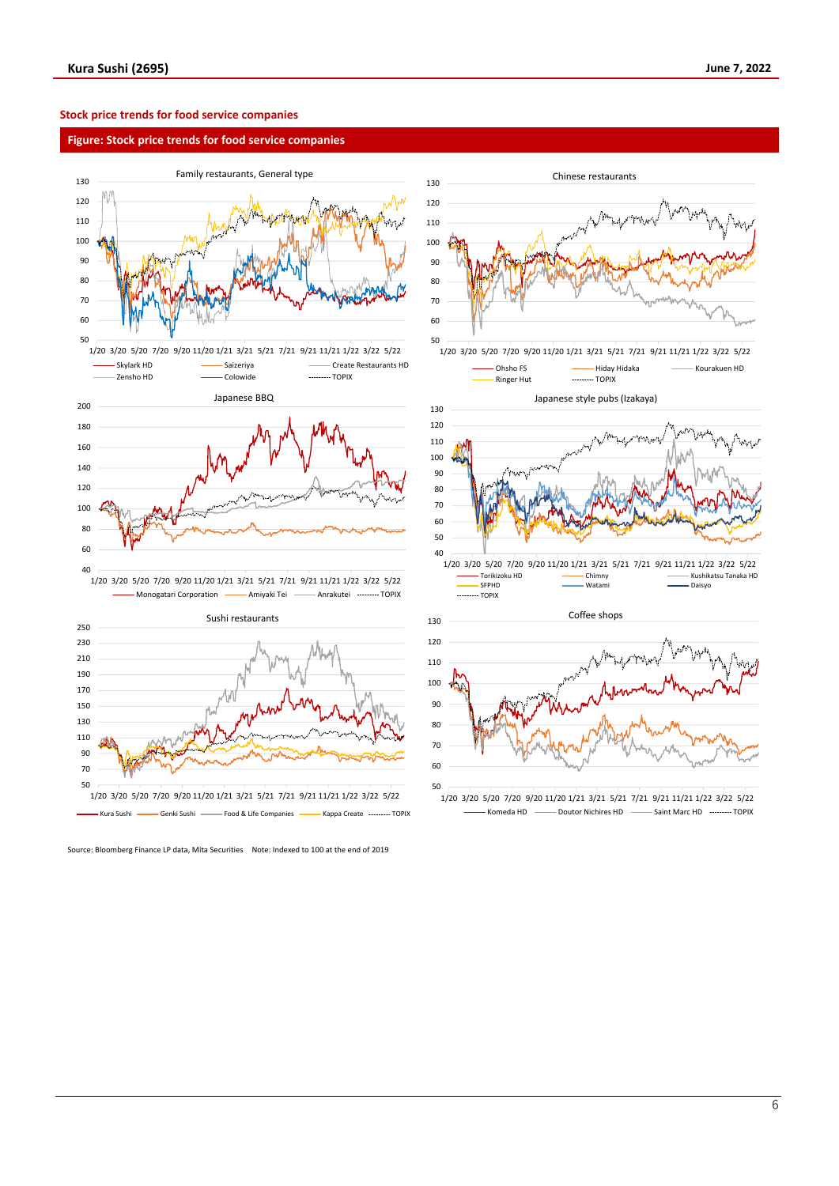## **Stock price trends for food service companies**

### **Figure: Stock price trends for food service companies**





Source: Bloomberg Finance LP data, Mita Securities Note: Indexed to 100 at the end of 2019



<sup>1/20</sup> 3/20 5/20 7/20 9/20 11/20 1/21 3/21 5/21 7/21 9/21 11/21 1/22 3/22 5/22 Komeda HD - Doutor Nichires HD - Saint Marc HD - TOPIX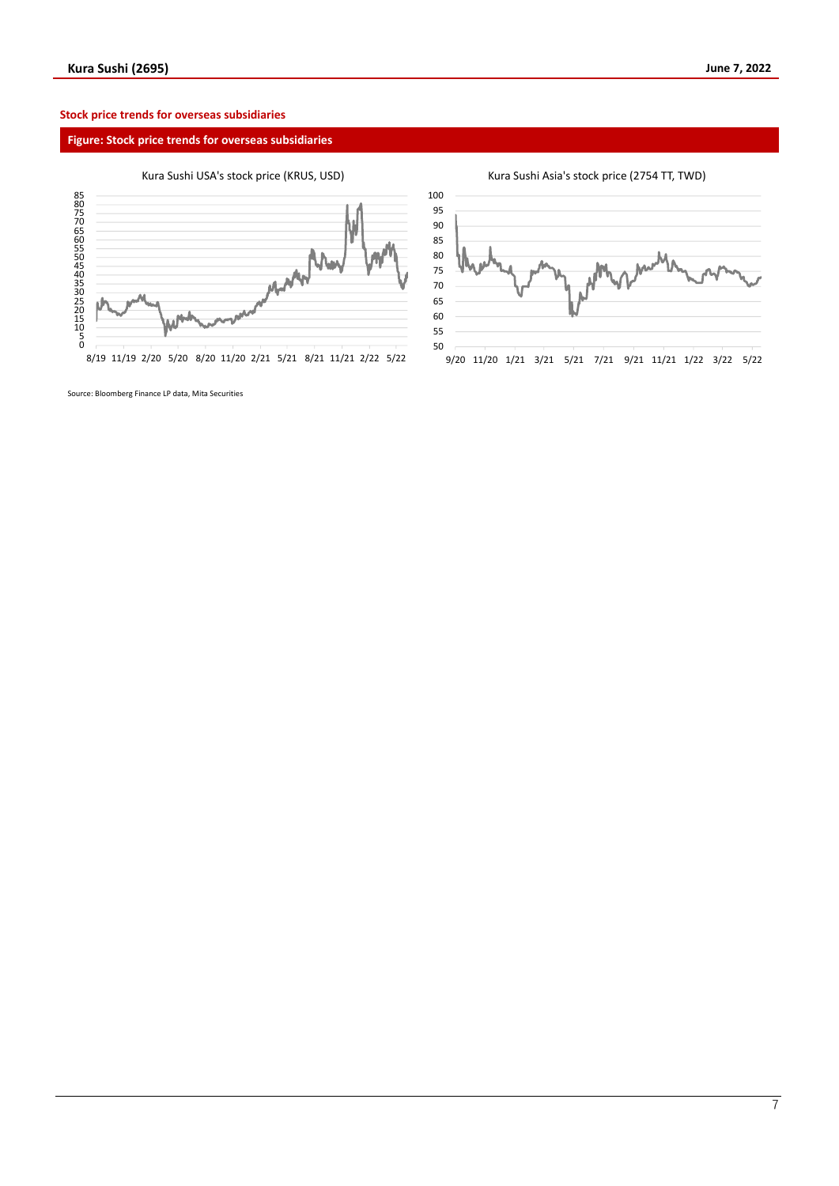# **Stock price trends for overseas subsidiaries**

# **Figure: Stock price trends for overseas subsidiaries**

# Kura Sushi USA's stock price (KRUS, USD)



8/19 11/19 2/20 5/20 8/20 11/20 2/21 5/21 8/21 11/21 2/22 5/22

Kura Sushi Asia's stock price (2754 TT, TWD)



Source: Bloomberg Finance LP data, Mita Securities